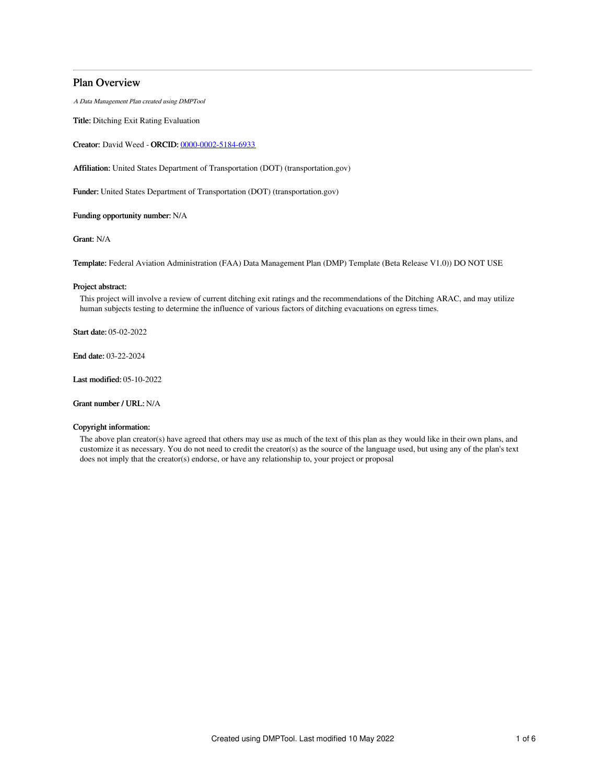# Plan Overview

A Data Management Plan created using DMPTool

Title: Ditching Exit Rating Evaluation

Creator: David Weed - ORCID: [0000-0002-5184-6933](https://orcid.org/0000-0002-5184-6933)

Affiliation: United States Department of Transportation (DOT) (transportation.gov)

Funder: United States Department of Transportation (DOT) (transportation.gov)

Funding opportunity number: N/A

Grant: N/A

Template: Federal Aviation Administration (FAA) Data Management Plan (DMP) Template (Beta Release V1.0)) DO NOT USE

# Project abstract:

This project will involve a review of current ditching exit ratings and the recommendations of the Ditching ARAC, and may utilize human subjects testing to determine the influence of various factors of ditching evacuations on egress times.

Start date: 05-02-2022

End date: 03-22-2024

Last modified: 05-10-2022

Grant number / URL: N/A

# Copyright information:

The above plan creator(s) have agreed that others may use as much of the text of this plan as they would like in their own plans, and customize it as necessary. You do not need to credit the creator(s) as the source of the language used, but using any of the plan's text does not imply that the creator(s) endorse, or have any relationship to, your project or proposal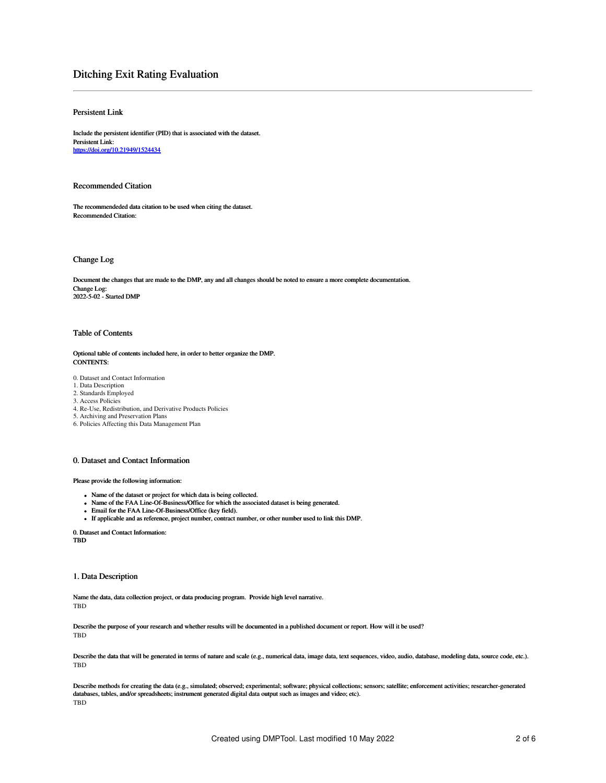# Ditching Exit Rating Evaluation

# Persistent Link

Include the persistent identifier (PID) that is associated with the dataset. Persistent Link: <https://doi.org/10.21949/1524434>

# Recommended Citation

The recommendeded data citation to be used when citing the dataset. Recommended Citation:

# Change Log

Document the changes that are made to the DMP, any and all changes should be noted to ensure a more complete documentation. Change Log: 2022-5-02 - Started DMP

# Table of Contents

### Optional table of contents included here, in order to better organize the DMP. CONTENTS:

0. Dataset and Contact Information

- 1. Data Description
- 2. Standards Employed
- 3. Access Policies
- 4. Re-Use, Redistribution, and Derivative Products Policies
- 5. Archiving and Preservation Plans
- 6. Policies Affecting this Data Management Plan

# 0. Dataset and Contact Information

Please provide the following information:

- Name of the dataset or project for which data is being collected.
- Name of the FAA Line-Of-Business/Office for which the associated dataset is being generated.
- Email for the FAA Line-Of-Business/Office (key field).
- If applicable and as reference, project number, contract number, or other number used to link this DMP.

0. Dataset and Contact Information: TBD

## 1. Data Description

Name the data, data collection project, or data producing program. Provide high level narrative. TBD

Describe the purpose of your research and whether results will be documented in a published document or report. How will it be used? **TBD** 

Describe the data that will be generated in terms of nature and scale (e.g., numerical data, image data, text sequences, video, audio, database, modeling data, source code, etc.). TBD

Describe methods for creating the data (e.g., simulated; observed; experimental; software; physical collections; sensors; satellite; enforcement activities; researcher-generated databases, tables, and/or spreadsheets; instrument generated digital data output such as images and video; etc). TBD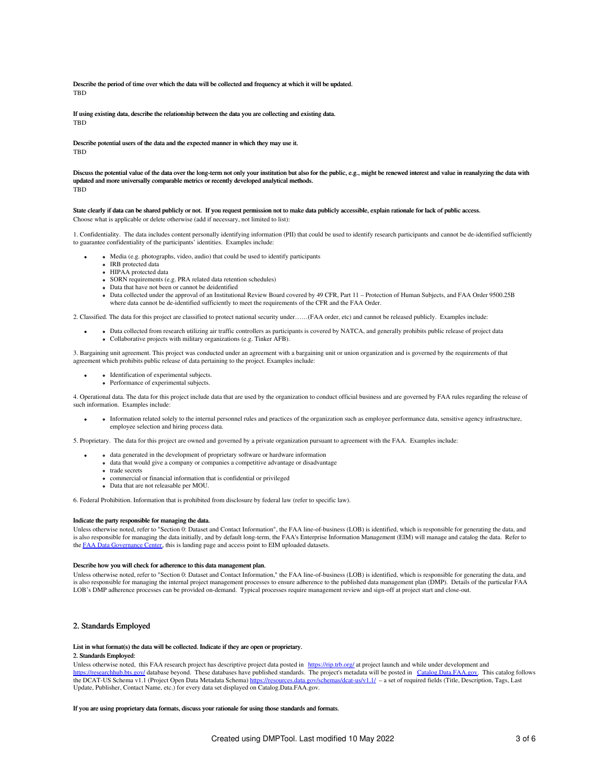Describe the period of time over which the data will be collected and frequency at which it will be updated. **TRD** 

If using existing data, describe the relationship between the data you are collecting and existing data. **TRD** 

Describe potential users of the data and the expected manner in which they may use it. **TRD** 

Discuss the potential value of the data over the long-term not only your institution but also for the public, e.g., might be renewed interest and value in reanalyzing the data with updated and more universally comparable metrics or recently developed analytical methods. TBD

State clearly if data can be shared publicly or not. If you request permission not to make data publicly accessible, explain rationale for lack of public access. Choose what is applicable or delete otherwise (add if necessary, not limited to list):

1. Confidentiality. The data includes content personally identifying information (PII) that could be used to identify research participants and cannot be de-identified sufficiently to guarantee confidentiality of the participants' identities. Examples include:

- Media (e.g. photographs, video, audio) that could be used to identify participants
	- IRB protected data
	- HIPAA protected data
	- SORN requirements (e.g. PRA related data retention schedules) • Data that have not been or cannot be deidentified
	- Data collected under the approval of an Institutional Review Board covered by 49 CFR, Part 11 Protection of Human Subjects, and FAA Order 9500.25B where data cannot be de-identified sufficiently to meet the requirements of the CFR and the FAA Order.

2. Classified. The data for this project are classified to protect national security under……(FAA order, etc) and cannot be released publicly. Examples include:

Data collected from research utilizing air traffic controllers as participants is covered by NATCA, and generally prohibits public release of project data Collaborative projects with military organizations (e.g. Tinker AFB).

3. Bargaining unit agreement. This project was conducted under an agreement with a bargaining unit or union organization and is governed by the requirements of that agreement which prohibits public release of data pertaining to the project. Examples include:

- Identification of experimental subjects.
- Performance of experimental subjects.

4. Operational data. The data for this project include data that are used by the organization to conduct official business and are governed by FAA rules regarding the release of such information. Examples include:

Information related solely to the internal personnel rules and practices of the organization such as employee performance data, sensitive agency infrastructure, employee selection and hiring process data.

5. Proprietary. The data for this project are owned and governed by a private organization pursuant to agreement with the FAA. Examples include:

- data generated in the development of proprietary software or hardware information
- data that would give a company or companies a competitive advantage or disadvantage
- o trade secrets
- commercial or financial information that is confidential or privileged
- Data that are not releasable per MOU.

6. Federal Prohibition. Information that is prohibited from disclosure by federal law (refer to specific law).

#### Indicate the party responsible for managing the data.

Unless otherwise noted, refer to "Section 0: Dataset and Contact Information", the FAA line-of-business (LOB) is identified, which is responsible for generating the data, and is also responsible for managing the data initially, and by default long-term, the FAA's Enterprise Information Management (EIM) will manage and catalog the data. Refer to the FAA Data [Governance](https://dgc.eim.faa.gov/dashboard) Center, this is landing page and access point to EIM uploaded datasets.

#### Describe how you will check for adherence to this data management plan.

Unless otherwise noted, refer to "Section 0: Dataset and Contact Information," the FAA line-of-business (LOB) is identified, which is responsible for generating the data, and is also responsible for managing the internal project management processes to ensure adherence to the published data management plan (DMP). Details of the particular FAA LOB's DMP adherence processes can be provided on-demand. Typical processes require management review and sign-off at project start and close-out.

# 2. Standards Employed

#### List in what format(s) the data will be collected. Indicate if they are open or proprietary.

## 2. Standards Employed:

Unless otherwise noted, this FAA research project has descriptive project data posted in <https://rip.trb.org/> at project launch and while under development and <https://researchhub.bts.gov/> database beyond. These databases have published standards. The project's metadata will be posted in [Catalog.Data.FAA.gov](http://catalog.data.faa.gov). This catalog follows the DCAT-US Schema v1.1 (Project Open Data Metadata Schema) <https://resources.data.gov/schemas/dcat-us/v1.1/> - a set of required fields (Title, Description, Tags, Last Update, Publisher, Contact Name, etc.) for every data set displayed on Catalog.Data.FAA.gov.

If you are using proprietary data formats, discuss your rationale for using those standards and formats.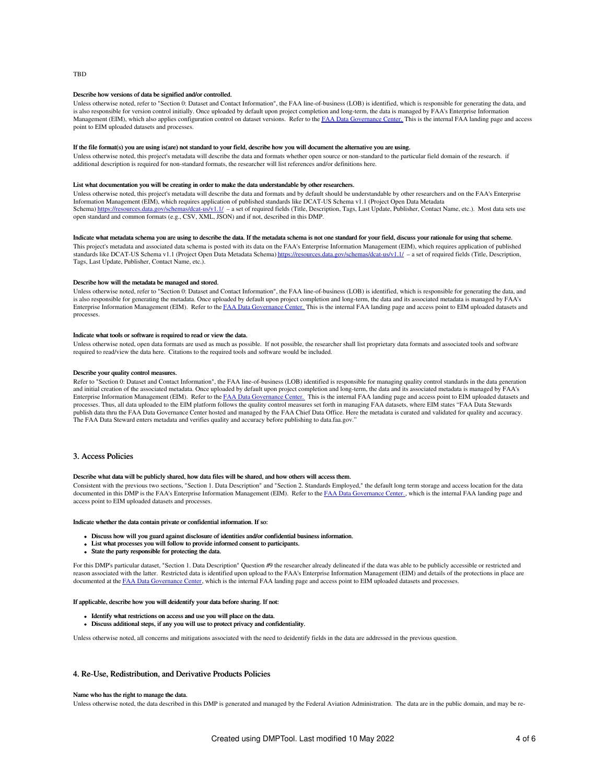#### Describe how versions of data be signified and/or controlled.

Unless otherwise noted, refer to "Section 0: Dataset and Contact Information", the FAA line-of-business (LOB) is identified, which is responsible for generating the data, and is also responsible for version control initially. Once uploaded by default upon project completion and long-term, the data is managed by FAA's Enterprise Information Management (EIM), which also applies configuration control on dataset versions. Refer to the FAA Data [Governance](https://dgc.eim.faa.gov/dashboard) Center. This is the internal FAA landing page and access point to EIM uploaded datasets and processes.

## If the file format(s) you are using is(are) not standard to your field, describe how you will document the alternative you are using.

Unless otherwise noted, this project's metadata will describe the data and formats whether open source or non-standard to the particular field domain of the research. if additional description is required for non-standard formats, the researcher will list references and/or definitions here.

#### List what documentation you will be creating in order to make the data understandable by other researchers.

Unless otherwise noted, this project's metadata will describe the data and formats and by default should be understandable by other researchers and on the FAA's Enterprise Information Management (EIM), which requires application of published standards like DCAT-US Schema v1.1 (Project Open Data Metadata Schema) <https://resources.data.gov/schemas/dcat-us/v1.1/> – a set of required fields (Title, Description, Tags, Last Update, Publisher, Contact Name, etc.). Most data sets use open standard and common formats (e.g., CSV, XML, JSON) and if not, described in this DMP.

### Indicate what metadata schema you are using to describe the data. If the metadata schema is not one standard for your field, discuss your rationale for using that scheme.

This project's metadata and associated data schema is posted with its data on the FAA's Enterprise Information Management (EIM), which requires application of published standards like DCAT-US Schema v1.1 (Project Open Data Metadata Schema) <https://resources.data.gov/schemas/dcat-us/v1.1/> – a set of required fields (Title, Description, Tags, Last Update, Publisher, Contact Name, etc.).

### Describe how will the metadata be managed and stored.

Unless otherwise noted, refer to "Section 0: Dataset and Contact Information", the FAA line-of-business (LOB) is identified, which is responsible for generating the data, and is also responsible for generating the metadata. Once uploaded by default upon project completion and long-term, the data and its associated metadata is managed by FAA's Enterprise Information Management (EIM). Refer to the FAA Data [Governance](https://dgc.eim.faa.gov/dashboard) Center. This is the internal FAA landing page and access point to EIM uploaded datasets and processes.

#### Indicate what tools or software is required to read or view the data.

Unless otherwise noted, open data formats are used as much as possible. If not possible, the researcher shall list proprietary data formats and associated tools and software required to read/view the data here. Citations to the required tools and software would be included.

#### Describe your quality control measures.

Refer to "Section 0: Dataset and Contact Information", the FAA line-of-business (LOB) identified is responsible for managing quality control standards in the data generation and initial creation of the associated metadata. Once uploaded by default upon project completion and long-term, the data and its associated metadata is managed by FAA's Enterprise Information Management (EIM). Refer to the FAA Data [Governance](https://dgc.eim.faa.gov/dashboard) Center. This is the internal FAA landing page and access point to EIM uploaded datasets and processes. Thus, all data uploaded to the EIM platform follows the quality control measures set forth in managing FAA datasets, where EIM states "FAA Data Stewards publish data thru the FAA Data Governance Center hosted and managed by the FAA Chief Data Office. Here the metadata is curated and validated for quality and accuracy. The FAA Data Steward enters metadata and verifies quality and accuracy before publishing to data.faa.gov.'

# 3. Access Policies

#### Describe what data will be publicly shared, how data files will be shared, and how others will access them.

Consistent with the previous two sections, "Section 1. Data Description" and "Section 2. Standards Employed," the default long term storage and access location for the data documented in this DMP is the FAA's Enterprise Information Management (EIM). Refer to the FAA Data [Governance](https://dgc.eim.faa.gov/dashboard) Center., which is the internal FAA landing page and access point to EIM uploaded datasets and processes.

#### Indicate whether the data contain private or confidential information. If so:

- Discuss how will you guard against disclosure of identities and/or confidential business information.
- List what processes you will follow to provide informed consent to participants.
- State the party responsible for protecting the data.

For this DMP's particular dataset, "Section 1. Data Description" Question #9 the researcher already delineated if the data was able to be publicly accessible or restricted and reason associated with the latter. Restricted data is identified upon upload to the FAA's Enterprise Information Management (EIM) and details of the protections in place are documented at the FAA Data [Governance](https://dgc.eim.faa.gov/dashboard) Center, which is the internal FAA landing page and access point to EIM uploaded datasets and processes.

#### If applicable, describe how you will deidentify your data before sharing. If not:

- Identify what restrictions on access and use you will place on the data.
- Discuss additional steps, if any you will use to protect privacy and confidentiality.

Unless otherwise noted, all concerns and mitigations associated with the need to deidentify fields in the data are addressed in the previous question.

# 4. Re-Use, Redistribution, and Derivative Products Policies

### Name who has the right to manage the data.

Unless otherwise noted, the data described in this DMP is generated and managed by the Federal Aviation Administration. The data are in the public domain, and may be re-

### **TRD**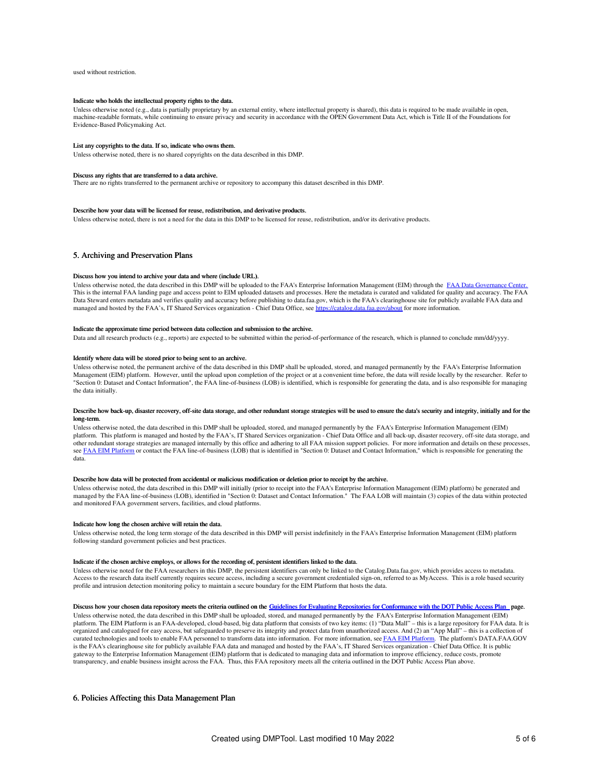used without restriction.

#### Indicate who holds the intellectual property rights to the data.

Unless otherwise noted (e.g., data is partially proprietary by an external entity, where intellectual property is shared), this data is required to be made available in open, machine-readable formats, while continuing to ensure privacy and security in accordance with the OPEN Government Data Act, which is Title II of the Foundations for Evidence-Based Policymaking Act.

#### List any copyrights to the data. If so, indicate who owns them.

Unless otherwise noted, there is no shared copyrights on the data described in this DMP.

#### Discuss any rights that are transferred to a data archive.

There are no rights transferred to the permanent archive or repository to accompany this dataset described in this DMP.

#### Describe how your data will be licensed for reuse, redistribution, and derivative products.

Unless otherwise noted, there is not a need for the data in this DMP to be licensed for reuse, redistribution, and/or its derivative products.

## 5. Archiving and Preservation Plans

#### Discuss how you intend to archive your data and where (include URL).

Unless otherwise noted, the data described in this DMP will be uploaded to the FAA's Enterprise Information Management (EIM) through the FAA Data [Governance](https://dgc.eim.faa.gov/dashboard) Center. This is the internal FAA landing page and access point to EIM uploaded datasets and processes. Here the metadata is curated and validated for quality and accuracy. The FAA Data Steward enters metadata and verifies quality and accuracy before publishing to data.faa.gov, which is the FAA's clearinghouse site for publicly available FAA data and managed and hosted by the FAA's, IT Shared Services organization - Chief Data Office, see <https://catalog.data.faa.gov/about> for more information.

#### Indicate the approximate time period between data collection and submission to the archive.

Data and all research products (e.g., reports) are expected to be submitted within the period-of-performance of the research, which is planned to conclude mm/dd/yyyy.

### Identify where data will be stored prior to being sent to an archive.

Unless otherwise noted, the permanent archive of the data described in this DMP shall be uploaded, stored, and managed permanently by the FAA's Enterprise Information Management (EIM) platform. However, until the upload upon completion of the project or at a convenient time before, the data will reside locally by the researcher. Refer to "Section 0: Dataset and Contact Information", the FAA line-of-business (LOB) is identified, which is responsible for generating the data, and is also responsible for managing the data initially.

#### Describe how back-up, disaster recovery, off-site data storage, and other redundant storage strategies will be used to ensure the data's security and integrity, initially and for the long-term.

Unless otherwise noted, the data described in this DMP shall be uploaded, stored, and managed permanently by the FAA's Enterprise Information Management (EIM) platform. This platform is managed and hosted by the FAA's, IT Shared Services organization - Chief Data Office and all back-up, disaster recovery, off-site data storage, and other redundant storage strategies are managed internally by this office and adhering to all FAA mission support policies. For more information and details on these processes, see FAA EIM [Platform](https://my.faa.gov/tools_resources/it_services_support/work_smarter/eim/eim_platform.html) or contact the FAA line-of-business (LOB) that is identified in "Section 0: Dataset and Contact Information," which is responsible for generating the data.

#### Describe how data will be protected from accidental or malicious modification or deletion prior to receipt by the archive.

Unless otherwise noted, the data described in this DMP will initially (prior to receipt into the FAA's Enterprise Information Management (EIM) platform) be generated and managed by the FAA line-of-business (LOB), identified in "Section 0: Dataset and Contact Information." The FAA LOB will maintain (3) copies of the data within protected and monitored FAA government servers, facilities, and cloud platforms.

#### Indicate how long the chosen archive will retain the data.

Unless otherwise noted, the long term storage of the data described in this DMP will persist indefinitely in the FAA's Enterprise Information Management (EIM) platform following standard government policies and best practices.

#### Indicate if the chosen archive employs, or allows for the recording of, persistent identifiers linked to the data.

Unless otherwise noted for the FAA researchers in this DMP, the persistent identifiers can only be linked to the Catalog.Data.faa.gov, which provides access to metadata. Access to the research data itself currently requires secure access, including a secure government credentialed sign-on, referred to as MyAccess. This is a role based security profile and intrusion detection monitoring policy to maintain a secure boundary for the EIM Platform that hosts the data.

#### Discuss how your chosen data repository meets the criteria outlined on the Guidelines for Evaluating Repositories for [Conformance](https://ntl.bts.gov/public-access/guidelines-evaluating-repositories) with the DOT Public Access Plan page.

Unless otherwise noted, the data described in this DMP shall be uploaded, stored, and managed permanently by the FAA's Enterprise Information Management (EIM) platform. The EIM Platform is an FAA-developed, cloud-based, big data platform that consists of two key items: (1) "Data Mall" – this is a large repository for FAA data. It is organized and catalogued for easy access, but safeguarded to preserve its integrity and protect data from unauthorized access. And (2) an "App Mall" – this is a collection of curated technologies and tools to enable FAA personnel to transform data into information. For more information, see FAA EIM [Platform](https://my.faa.gov/tools_resources/it_services_support/work_smarter/eim/eim_platform.html). The platform's DATA.FAA.GOV is the FAA's clearinghouse site for publicly available FAA data and managed and hosted by the FAA's, IT Shared Services organization - Chief Data Office. It is public gateway to the Enterprise Information Management (EIM) platform that is dedicated to managing data and information to improve efficiency, reduce costs, promote<br>transparency, and enable business insight across the FAA. Thus

# 6. Policies Affecting this Data Management Plan